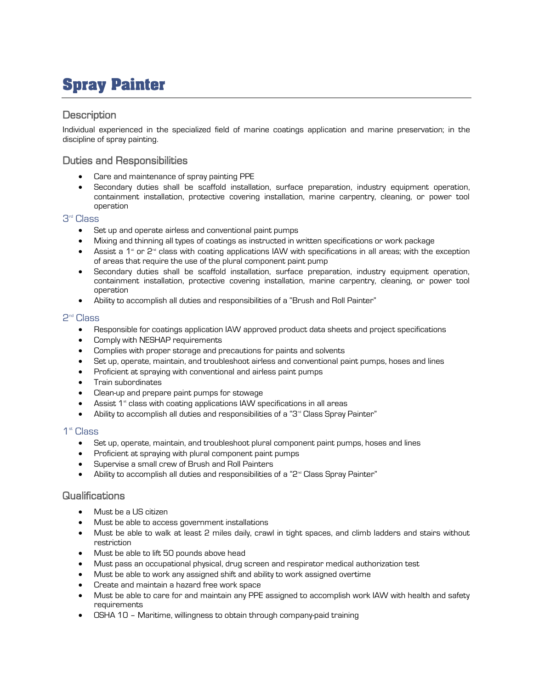# **Spray Painter**

## **Description**

Individual experienced in the specialized field of marine coatings application and marine preservation; in the discipline of spray painting.

## Duties and Responsibilities

- Care and maintenance of spray painting PPE
- Secondary duties shall be scaffold installation, surface preparation, industry equipment operation, containment installation, protective covering installation, marine carpentry, cleaning, or power tool operation

#### 3 rd Class

- Set up and operate airless and conventional paint pumps
- Mixing and thinning all types of coatings as instructed in written specifications or work package
- Assist a 1<sup> $*$ </sup> or 2<sup>nd</sup> class with coating applications IAW with specifications in all areas; with the exception of areas that require the use of the plural component paint pump
- Secondary duties shall be scaffold installation, surface preparation, industry equipment operation, containment installation, protective covering installation, marine carpentry, cleaning, or power tool operation
- Ability to accomplish all duties and responsibilities of a "Brush and Roll Painter"

#### 2 nd Class

- Responsible for coatings application IAW approved product data sheets and project specifications
- Comply with NESHAP requirements
- Complies with proper storage and precautions for paints and solvents
- Set up, operate, maintain, and troubleshoot airless and conventional paint pumps, hoses and lines
- Proficient at spraying with conventional and airless paint pumps
- Train subordinates
- Clean-up and prepare paint pumps for stowage
- Assist  $1<sup>*</sup>$  class with coating applications IAW specifications in all areas
- Ability to accomplish all duties and responsibilities of a "3" Class Spray Painter"

#### 1 st Class

- Set up, operate, maintain, and troubleshoot plural component paint pumps, hoses and lines
- Proficient at spraying with plural component paint pumps
- Supervise a small crew of Brush and Roll Painters
- Ability to accomplish all duties and responsibilities of a "2<sup>nd</sup> Class Spray Painter"

#### Qualifications

- Must be a US citizen
- Must be able to access government installations
- Must be able to walk at least 2 miles daily, crawl in tight spaces, and climb ladders and stairs without restriction
- Must be able to lift 50 pounds above head
- Must pass an occupational physical, drug screen and respirator medical authorization test
- Must be able to work any assigned shift and ability to work assigned overtime
- Create and maintain a hazard free work space
- Must be able to care for and maintain any PPE assigned to accomplish work IAW with health and safety requirements
- OSHA 10 Maritime, willingness to obtain through company-paid training